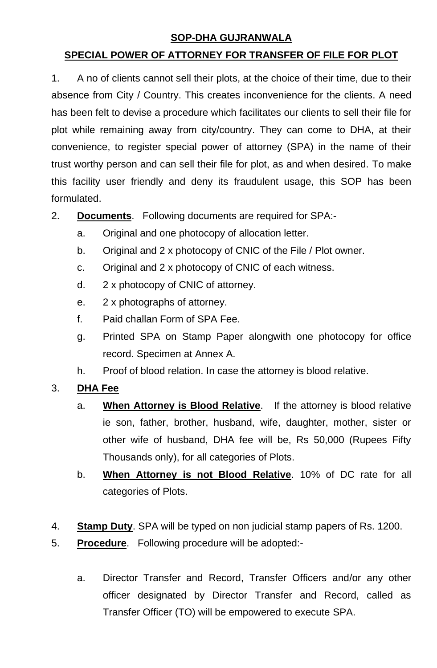### **SOP-DHA GUJRANWALA**

### **SPECIAL POWER OF ATTORNEY FOR TRANSFER OF FILE FOR PLOT**

1. A no of clients cannot sell their plots, at the choice of their time, due to their absence from City / Country. This creates inconvenience for the clients. A need has been felt to devise a procedure which facilitates our clients to sell their file for plot while remaining away from city/country. They can come to DHA, at their convenience, to register special power of attorney (SPA) in the name of their trust worthy person and can sell their file for plot, as and when desired. To make this facility user friendly and deny its fraudulent usage, this SOP has been formulated.

2. **Documents**. Following documents are required for SPA:-

- a. Original and one photocopy of allocation letter.
- b. Original and 2 x photocopy of CNIC of the File / Plot owner.
- c. Original and 2 x photocopy of CNIC of each witness.
- d. 2 x photocopy of CNIC of attorney.
- e. 2 x photographs of attorney.
- f. Paid challan Form of SPA Fee.
- g. Printed SPA on Stamp Paper alongwith one photocopy for office record. Specimen at Annex A.
- h. Proof of blood relation. In case the attorney is blood relative.

#### 3. **DHA Fee**

- a. **When Attorney is Blood Relative**. If the attorney is blood relative ie son, father, brother, husband, wife, daughter, mother, sister or other wife of husband, DHA fee will be, Rs 50,000 (Rupees Fifty Thousands only), for all categories of Plots.
- b. **When Attorney is not Blood Relative**. 10% of DC rate for all categories of Plots.
- 4. **Stamp Duty**. SPA will be typed on non judicial stamp papers of Rs. 1200.
- 5. **Procedure**. Following procedure will be adopted:
	- a. Director Transfer and Record, Transfer Officers and/or any other officer designated by Director Transfer and Record, called as Transfer Officer (TO) will be empowered to execute SPA.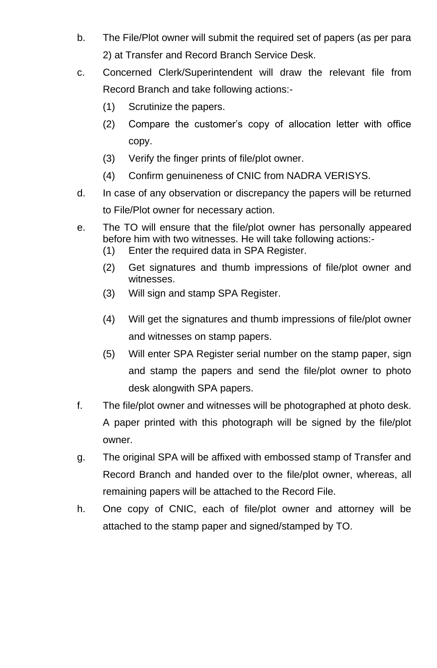- b. The File/Plot owner will submit the required set of papers (as per para 2) at Transfer and Record Branch Service Desk.
- c. Concerned Clerk/Superintendent will draw the relevant file from Record Branch and take following actions:-
	- (1) Scrutinize the papers.
	- (2) Compare the customer's copy of allocation letter with office copy.
	- (3) Verify the finger prints of file/plot owner.
	- (4) Confirm genuineness of CNIC from NADRA VERISYS.
- d. In case of any observation or discrepancy the papers will be returned to File/Plot owner for necessary action.
- e. The TO will ensure that the file/plot owner has personally appeared before him with two witnesses. He will take following actions:-
	- (1) Enter the required data in SPA Register.
	- (2) Get signatures and thumb impressions of file/plot owner and witnesses.
	- (3) Will sign and stamp SPA Register.
	- (4) Will get the signatures and thumb impressions of file/plot owner and witnesses on stamp papers.
	- (5) Will enter SPA Register serial number on the stamp paper, sign and stamp the papers and send the file/plot owner to photo desk alongwith SPA papers.
- f. The file/plot owner and witnesses will be photographed at photo desk. A paper printed with this photograph will be signed by the file/plot owner.
- g. The original SPA will be affixed with embossed stamp of Transfer and Record Branch and handed over to the file/plot owner, whereas, all remaining papers will be attached to the Record File.
- h. One copy of CNIC, each of file/plot owner and attorney will be attached to the stamp paper and signed/stamped by TO.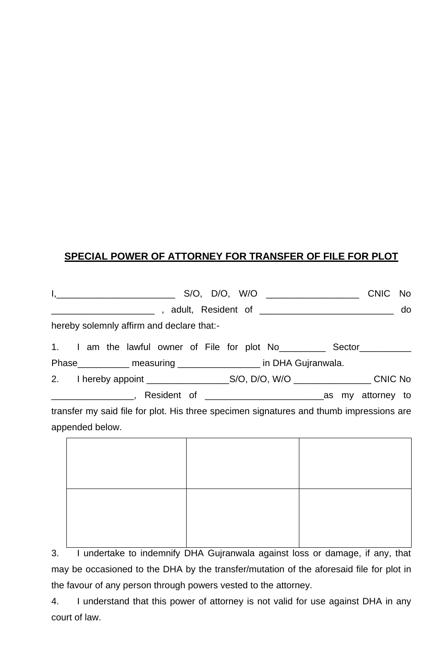## **SPECIAL POWER OF ATTORNEY FOR TRANSFER OF FILE FOR PLOT**

|                                                                                                            | do |
|------------------------------------------------------------------------------------------------------------|----|
| hereby solemnly affirm and declare that:-                                                                  |    |
| 1. I am the lawful owner of File for plot No____________ Sector___________                                 |    |
| Phase_____________ measuring __________________ in DHA Gujranwala.                                         |    |
|                                                                                                            |    |
|                                                                                                            |    |
| transfer my said file for plot. His three specimen signatures and thumb impressions are<br>appended below. |    |
|                                                                                                            |    |

3. I undertake to indemnify DHA Gujranwala against loss or damage, if any, that may be occasioned to the DHA by the transfer/mutation of the aforesaid file for plot in the favour of any person through powers vested to the attorney.

4. I understand that this power of attorney is not valid for use against DHA in any court of law.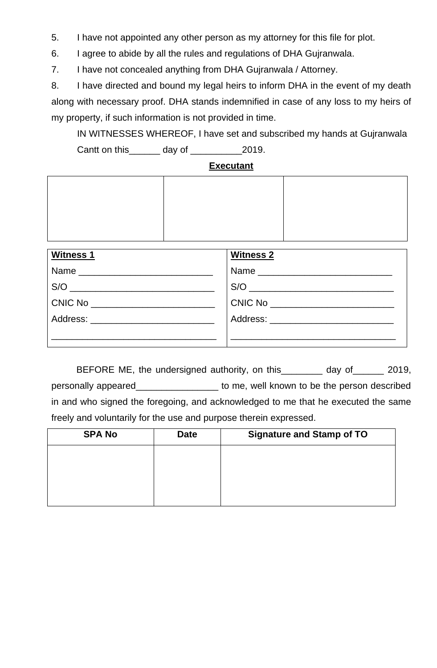5. I have not appointed any other person as my attorney for this file for plot.

6. I agree to abide by all the rules and regulations of DHA Gujranwala.

7. I have not concealed anything from DHA Gujranwala / Attorney.

8. I have directed and bound my legal heirs to inform DHA in the event of my death along with necessary proof. DHA stands indemnified in case of any loss to my heirs of my property, if such information is not provided in time.

IN WITNESSES WHEREOF, I have set and subscribed my hands at Gujranwala Cantt on this\_\_\_\_\_\_ day of \_\_\_\_\_\_\_\_\_\_2019.

#### **Executant**

| Witness 1                                | Witness 2                              |
|------------------------------------------|----------------------------------------|
|                                          | . Name _______________________________ |
| $S/O$                                    |                                        |
| , CNIC No ___________________________    | $\overline{C}$ NIC No $\overline{C}$   |
| Address: _______________________________ | Address: ___________________________   |
|                                          |                                        |

BEFORE ME, the undersigned authority, on this\_\_\_\_\_\_\_ day of\_\_\_\_\_\_ 2019, personally appeared\_\_\_\_\_\_\_\_\_\_\_\_\_\_\_\_ to me, well known to be the person described in and who signed the foregoing, and acknowledged to me that he executed the same freely and voluntarily for the use and purpose therein expressed.

| <b>SPA No</b> | <b>Date</b> | <b>Signature and Stamp of TO</b> |
|---------------|-------------|----------------------------------|
|               |             |                                  |
|               |             |                                  |
|               |             |                                  |
|               |             |                                  |